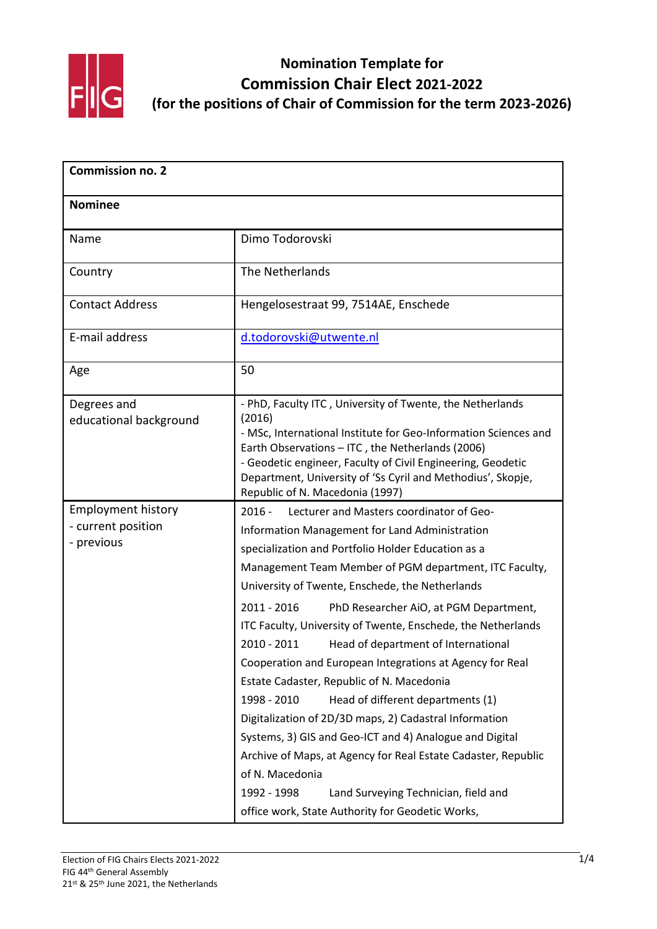

| <b>Commission no. 2</b>                                       |                                                                                                                                                                                                                                                                                                                                                                                                                                                                                                                                                                                                                                                                                                                                                                                                                                                                                                                                           |  |
|---------------------------------------------------------------|-------------------------------------------------------------------------------------------------------------------------------------------------------------------------------------------------------------------------------------------------------------------------------------------------------------------------------------------------------------------------------------------------------------------------------------------------------------------------------------------------------------------------------------------------------------------------------------------------------------------------------------------------------------------------------------------------------------------------------------------------------------------------------------------------------------------------------------------------------------------------------------------------------------------------------------------|--|
| <b>Nominee</b>                                                |                                                                                                                                                                                                                                                                                                                                                                                                                                                                                                                                                                                                                                                                                                                                                                                                                                                                                                                                           |  |
| Name                                                          | Dimo Todorovski                                                                                                                                                                                                                                                                                                                                                                                                                                                                                                                                                                                                                                                                                                                                                                                                                                                                                                                           |  |
| Country                                                       | The Netherlands                                                                                                                                                                                                                                                                                                                                                                                                                                                                                                                                                                                                                                                                                                                                                                                                                                                                                                                           |  |
| <b>Contact Address</b>                                        | Hengelosestraat 99, 7514AE, Enschede                                                                                                                                                                                                                                                                                                                                                                                                                                                                                                                                                                                                                                                                                                                                                                                                                                                                                                      |  |
| E-mail address                                                | d.todorovski@utwente.nl                                                                                                                                                                                                                                                                                                                                                                                                                                                                                                                                                                                                                                                                                                                                                                                                                                                                                                                   |  |
| Age                                                           | 50                                                                                                                                                                                                                                                                                                                                                                                                                                                                                                                                                                                                                                                                                                                                                                                                                                                                                                                                        |  |
| Degrees and<br>educational background                         | - PhD, Faculty ITC, University of Twente, the Netherlands<br>(2016)<br>- MSc, International Institute for Geo-Information Sciences and<br>Earth Observations - ITC, the Netherlands (2006)<br>- Geodetic engineer, Faculty of Civil Engineering, Geodetic<br>Department, University of 'Ss Cyril and Methodius', Skopje,<br>Republic of N. Macedonia (1997)                                                                                                                                                                                                                                                                                                                                                                                                                                                                                                                                                                               |  |
| <b>Employment history</b><br>- current position<br>- previous | $2016 -$<br>Lecturer and Masters coordinator of Geo-<br>Information Management for Land Administration<br>specialization and Portfolio Holder Education as a<br>Management Team Member of PGM department, ITC Faculty,<br>University of Twente, Enschede, the Netherlands<br>2011 - 2016<br>PhD Researcher AiO, at PGM Department,<br>ITC Faculty, University of Twente, Enschede, the Netherlands<br>2010 - 2011<br>Head of department of International<br>Cooperation and European Integrations at Agency for Real<br>Estate Cadaster, Republic of N. Macedonia<br>1998 - 2010<br>Head of different departments (1)<br>Digitalization of 2D/3D maps, 2) Cadastral Information<br>Systems, 3) GIS and Geo-ICT and 4) Analogue and Digital<br>Archive of Maps, at Agency for Real Estate Cadaster, Republic<br>of N. Macedonia<br>1992 - 1998<br>Land Surveying Technician, field and<br>office work, State Authority for Geodetic Works, |  |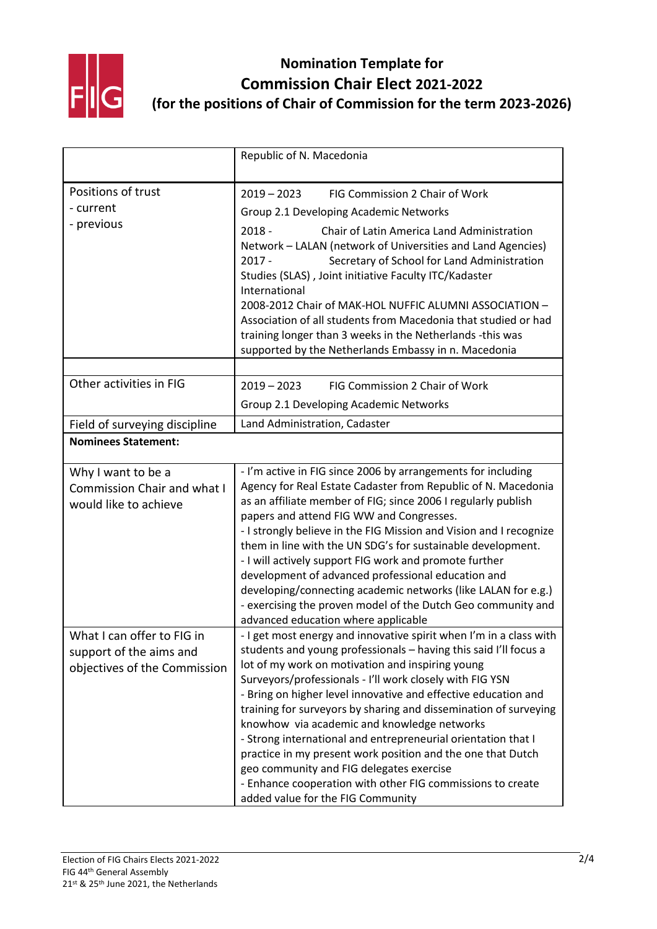

|                                    | Republic of N. Macedonia                                                                                                                                                                                                                                                                                                                                                                                                                                                                                    |
|------------------------------------|-------------------------------------------------------------------------------------------------------------------------------------------------------------------------------------------------------------------------------------------------------------------------------------------------------------------------------------------------------------------------------------------------------------------------------------------------------------------------------------------------------------|
| Positions of trust                 | $2019 - 2023$<br>FIG Commission 2 Chair of Work                                                                                                                                                                                                                                                                                                                                                                                                                                                             |
| - current                          | Group 2.1 Developing Academic Networks                                                                                                                                                                                                                                                                                                                                                                                                                                                                      |
| - previous                         | $2018 -$<br>Chair of Latin America Land Administration<br>Network - LALAN (network of Universities and Land Agencies)<br>$2017 -$<br>Secretary of School for Land Administration<br>Studies (SLAS), Joint initiative Faculty ITC/Kadaster<br>International<br>2008-2012 Chair of MAK-HOL NUFFIC ALUMNI ASSOCIATION -<br>Association of all students from Macedonia that studied or had<br>training longer than 3 weeks in the Netherlands -this was<br>supported by the Netherlands Embassy in n. Macedonia |
|                                    |                                                                                                                                                                                                                                                                                                                                                                                                                                                                                                             |
| Other activities in FIG            | $2019 - 2023$<br>FIG Commission 2 Chair of Work                                                                                                                                                                                                                                                                                                                                                                                                                                                             |
|                                    | Group 2.1 Developing Academic Networks                                                                                                                                                                                                                                                                                                                                                                                                                                                                      |
| Field of surveying discipline      | Land Administration, Cadaster                                                                                                                                                                                                                                                                                                                                                                                                                                                                               |
| <b>Nominees Statement:</b>         |                                                                                                                                                                                                                                                                                                                                                                                                                                                                                                             |
| Why I want to be a                 | - I'm active in FIG since 2006 by arrangements for including                                                                                                                                                                                                                                                                                                                                                                                                                                                |
| <b>Commission Chair and what I</b> | Agency for Real Estate Cadaster from Republic of N. Macedonia                                                                                                                                                                                                                                                                                                                                                                                                                                               |
| would like to achieve              | as an affiliate member of FIG; since 2006 I regularly publish<br>papers and attend FIG WW and Congresses.                                                                                                                                                                                                                                                                                                                                                                                                   |
|                                    | - I strongly believe in the FIG Mission and Vision and I recognize                                                                                                                                                                                                                                                                                                                                                                                                                                          |
|                                    | them in line with the UN SDG's for sustainable development.                                                                                                                                                                                                                                                                                                                                                                                                                                                 |
|                                    | - I will actively support FIG work and promote further                                                                                                                                                                                                                                                                                                                                                                                                                                                      |
|                                    | development of advanced professional education and                                                                                                                                                                                                                                                                                                                                                                                                                                                          |
|                                    | developing/connecting academic networks (like LALAN for e.g.)<br>- exercising the proven model of the Dutch Geo community and<br>advanced education where applicable                                                                                                                                                                                                                                                                                                                                        |
| What I can offer to FIG in         | - I get most energy and innovative spirit when I'm in a class with                                                                                                                                                                                                                                                                                                                                                                                                                                          |
| support of the aims and            | students and young professionals - having this said I'll focus a                                                                                                                                                                                                                                                                                                                                                                                                                                            |
| objectives of the Commission       | lot of my work on motivation and inspiring young                                                                                                                                                                                                                                                                                                                                                                                                                                                            |
|                                    | Surveyors/professionals - I'll work closely with FIG YSN                                                                                                                                                                                                                                                                                                                                                                                                                                                    |
|                                    | - Bring on higher level innovative and effective education and<br>training for surveyors by sharing and dissemination of surveying                                                                                                                                                                                                                                                                                                                                                                          |
|                                    | knowhow via academic and knowledge networks                                                                                                                                                                                                                                                                                                                                                                                                                                                                 |
|                                    | - Strong international and entrepreneurial orientation that I                                                                                                                                                                                                                                                                                                                                                                                                                                               |
|                                    | practice in my present work position and the one that Dutch                                                                                                                                                                                                                                                                                                                                                                                                                                                 |
|                                    | geo community and FIG delegates exercise                                                                                                                                                                                                                                                                                                                                                                                                                                                                    |
|                                    | - Enhance cooperation with other FIG commissions to create<br>added value for the FIG Community                                                                                                                                                                                                                                                                                                                                                                                                             |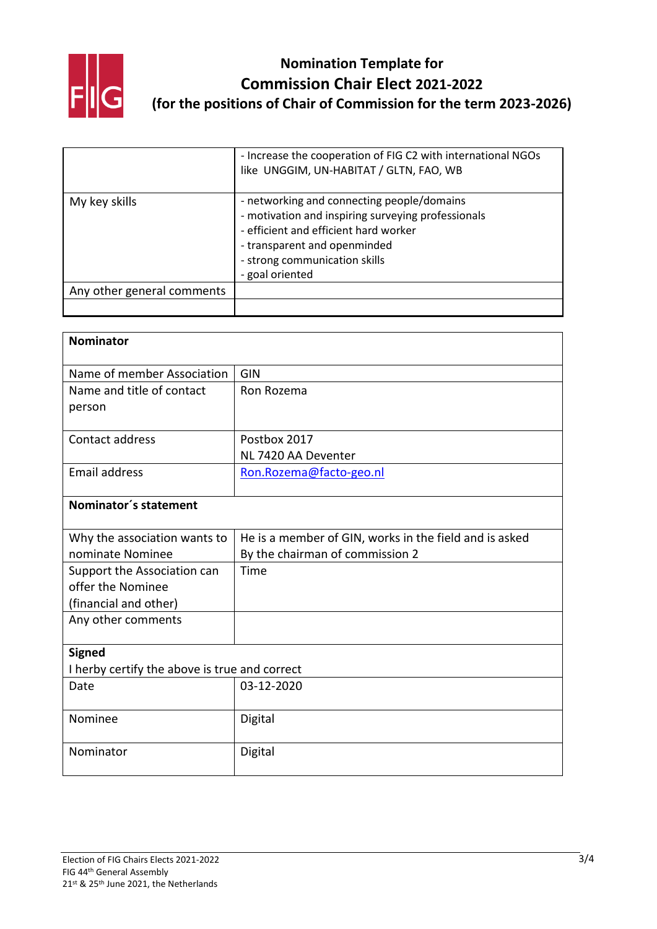

|                            | - Increase the cooperation of FIG C2 with international NGOs<br>like UNGGIM, UN-HABITAT / GLTN, FAO, WB                                                                                                                       |
|----------------------------|-------------------------------------------------------------------------------------------------------------------------------------------------------------------------------------------------------------------------------|
| My key skills              | - networking and connecting people/domains<br>- motivation and inspiring surveying professionals<br>- efficient and efficient hard worker<br>- transparent and openminded<br>- strong communication skills<br>- goal oriented |
| Any other general comments |                                                                                                                                                                                                                               |
|                            |                                                                                                                                                                                                                               |

| <b>Nominator</b>                              |                                                        |  |
|-----------------------------------------------|--------------------------------------------------------|--|
|                                               |                                                        |  |
| Name of member Association                    | <b>GIN</b>                                             |  |
| Name and title of contact                     | Ron Rozema                                             |  |
| person                                        |                                                        |  |
| Contact address                               | Postbox 2017                                           |  |
|                                               | NL 7420 AA Deventer                                    |  |
| <b>Email address</b>                          | Ron.Rozema@facto-geo.nl                                |  |
| Nominator's statement                         |                                                        |  |
| Why the association wants to                  | He is a member of GIN, works in the field and is asked |  |
| nominate Nominee                              | By the chairman of commission 2                        |  |
| Support the Association can                   | Time                                                   |  |
| offer the Nominee                             |                                                        |  |
| (financial and other)                         |                                                        |  |
| Any other comments                            |                                                        |  |
| <b>Signed</b>                                 |                                                        |  |
| I herby certify the above is true and correct |                                                        |  |
| Date                                          | 03-12-2020                                             |  |
| Nominee                                       | Digital                                                |  |
| Nominator                                     | Digital                                                |  |